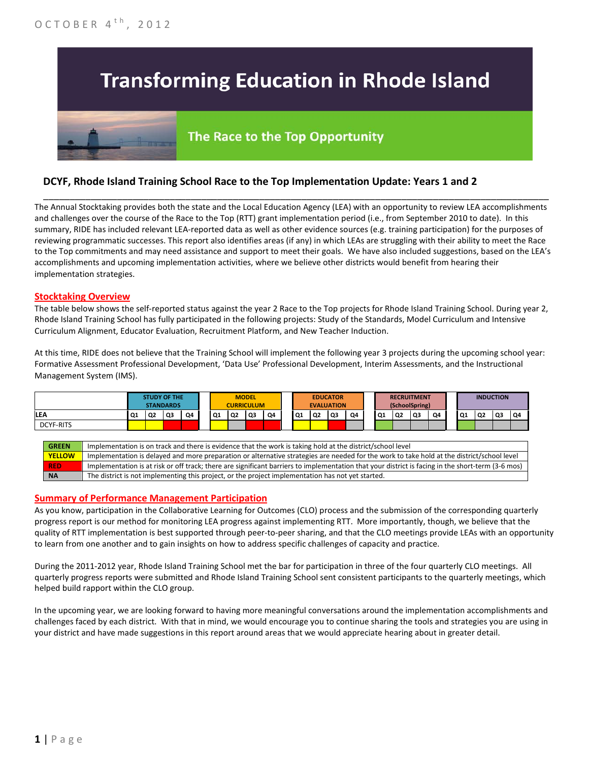# **Transforming Education in Rhode Island**

## The Race to the Top Opportunity

### **DCYF, Rhode Island Training School Race to the Top Implementation Update: Years 1 and 2**

The Annual Stocktaking provides both the state and the Local Education Agency (LEA) with an opportunity to review LEA accomplishments and challenges over the course of the Race to the Top (RTT) grant implementation period (i.e., from September 2010 to date). In this summary, RIDE has included relevant LEA-reported data as well as other evidence sources (e.g. training participation) for the purposes of reviewing programmatic successes. This report also identifies areas (if any) in which LEAs are struggling with their ability to meet the Race to the Top commitments and may need assistance and support to meet their goals. We have also included suggestions, based on the LEA's accomplishments and upcoming implementation activities, where we believe other districts would benefit from hearing their implementation strategies.

\_\_\_\_\_\_\_\_\_\_\_\_\_\_\_\_\_\_\_\_\_\_\_\_\_\_\_\_\_\_\_\_\_\_\_\_\_\_\_\_\_\_\_\_\_\_\_\_\_\_\_\_\_\_\_\_\_\_\_\_\_\_\_\_\_\_\_\_\_\_\_\_\_\_\_\_\_\_\_\_\_\_\_\_\_\_\_\_\_\_\_\_\_\_\_\_

#### **Stocktaking Overview**

The table below shows the self-reported status against the year 2 Race to the Top projects for Rhode Island Training School. During year 2, Rhode Island Training School has fully participated in the following projects: Study of the Standards, Model Curriculum and Intensive Curriculum Alignment, Educator Evaluation, Recruitment Platform, and New Teacher Induction.

At this time, RIDE does not believe that the Training School will implement the following year 3 projects during the upcoming school year: Formative Assessment Professional Development, 'Data Use' Professional Development, Interim Assessments, and the Instructional Management System (IMS).



#### **Summary of Performance Management Participation**

As you know, participation in the Collaborative Learning for Outcomes (CLO) process and the submission of the corresponding quarterly progress report is our method for monitoring LEA progress against implementing RTT. More importantly, though, we believe that the quality of RTT implementation is best supported through peer-to-peer sharing, and that the CLO meetings provide LEAs with an opportunity to learn from one another and to gain insights on how to address specific challenges of capacity and practice.

During the 2011-2012 year, Rhode Island Training School met the bar for participation in three of the four quarterly CLO meetings. All quarterly progress reports were submitted and Rhode Island Training School sent consistent participants to the quarterly meetings, which helped build rapport within the CLO group.

In the upcoming year, we are looking forward to having more meaningful conversations around the implementation accomplishments and challenges faced by each district. With that in mind, we would encourage you to continue sharing the tools and strategies you are using in your district and have made suggestions in this report around areas that we would appreciate hearing about in greater detail.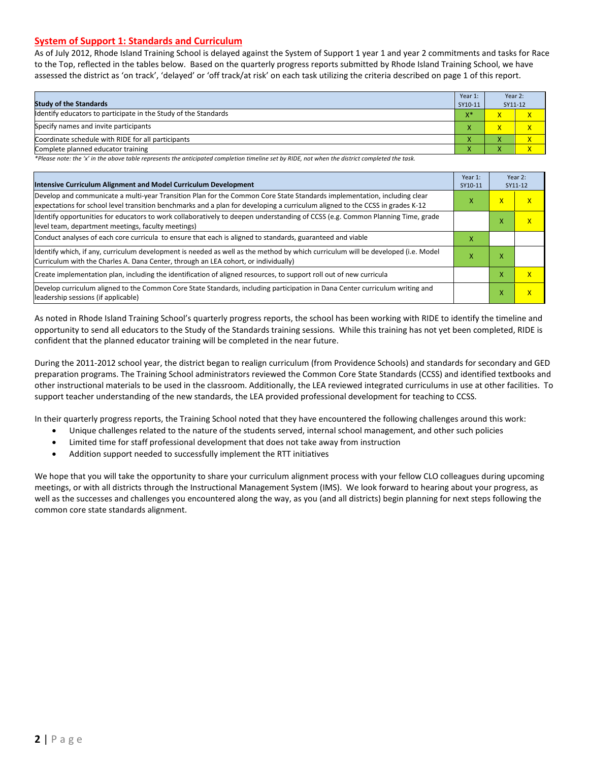#### **System of Support 1: Standards and Curriculum**

As of July 2012, Rhode Island Training School is delayed against the System of Support 1 year 1 and year 2 commitments and tasks for Race to the Top, reflected in the tables below. Based on the quarterly progress reports submitted by Rhode Island Training School, we have assessed the district as 'on track', 'delayed' or 'off track/at risk' on each task utilizing the criteria described on page 1 of this report.

| <b>Study of the Standards</b>                                   | Year 1:<br>SY10-11 | Year 2:<br>SY11-12     |  |
|-----------------------------------------------------------------|--------------------|------------------------|--|
| Identify educators to participate in the Study of the Standards | $X^*$              | $\mathbf{v}$           |  |
| Specify names and invite participants                           |                    |                        |  |
| Coordinate schedule with RIDE for all participants              | Λ                  |                        |  |
| Complete planned educator training                              | Λ                  | $\mathbf{v}$<br>$\sim$ |  |

*\*Please note: the 'x' in the above table represents the anticipated completion timeline set by RIDE, not when the district completed the task.*

| Intensive Curriculum Alignment and Model Curriculum Development                                                                                                                                                                                           |   |                         | Year 2:<br>SY11-12      |
|-----------------------------------------------------------------------------------------------------------------------------------------------------------------------------------------------------------------------------------------------------------|---|-------------------------|-------------------------|
| Develop and communicate a multi-year Transition Plan for the Common Core State Standards implementation, including clear<br>expectations for school level transition benchmarks and a plan for developing a curriculum aligned to the CCSS in grades K-12 |   | $\overline{\mathsf{x}}$ | X                       |
| Identify opportunities for educators to work collaboratively to deepen understanding of CCSS (e.g. Common Planning Time, grade<br>level team, department meetings, faculty meetings)                                                                      |   | x                       | X                       |
| Conduct analyses of each core curricula to ensure that each is aligned to standards, guaranteed and viable                                                                                                                                                | x |                         |                         |
| Identify which, if any, curriculum development is needed as well as the method by which curriculum will be developed (i.e. Model<br>Curriculum with the Charles A. Dana Center, through an LEA cohort, or individually)                                   | х | x                       |                         |
| Create implementation plan, including the identification of aligned resources, to support roll out of new curricula                                                                                                                                       |   |                         | X                       |
| Develop curriculum aligned to the Common Core State Standards, including participation in Dana Center curriculum writing and<br>leadership sessions (if applicable)                                                                                       |   |                         | $\overline{\mathsf{x}}$ |

As noted in Rhode Island Training School's quarterly progress reports, the school has been working with RIDE to identify the timeline and opportunity to send all educators to the Study of the Standards training sessions. While this training has not yet been completed, RIDE is confident that the planned educator training will be completed in the near future.

During the 2011-2012 school year, the district began to realign curriculum (from Providence Schools) and standards for secondary and GED preparation programs. The Training School administrators reviewed the Common Core State Standards (CCSS) and identified textbooks and other instructional materials to be used in the classroom. Additionally, the LEA reviewed integrated curriculums in use at other facilities. To support teacher understanding of the new standards, the LEA provided professional development for teaching to CCSS.

In their quarterly progress reports, the Training School noted that they have encountered the following challenges around this work:

- Unique challenges related to the nature of the students served, internal school management, and other such policies
- Limited time for staff professional development that does not take away from instruction
- Addition support needed to successfully implement the RTT initiatives

We hope that you will take the opportunity to share your curriculum alignment process with your fellow CLO colleagues during upcoming meetings, or with all districts through the Instructional Management System (IMS). We look forward to hearing about your progress, as well as the successes and challenges you encountered along the way, as you (and all districts) begin planning for next steps following the common core state standards alignment.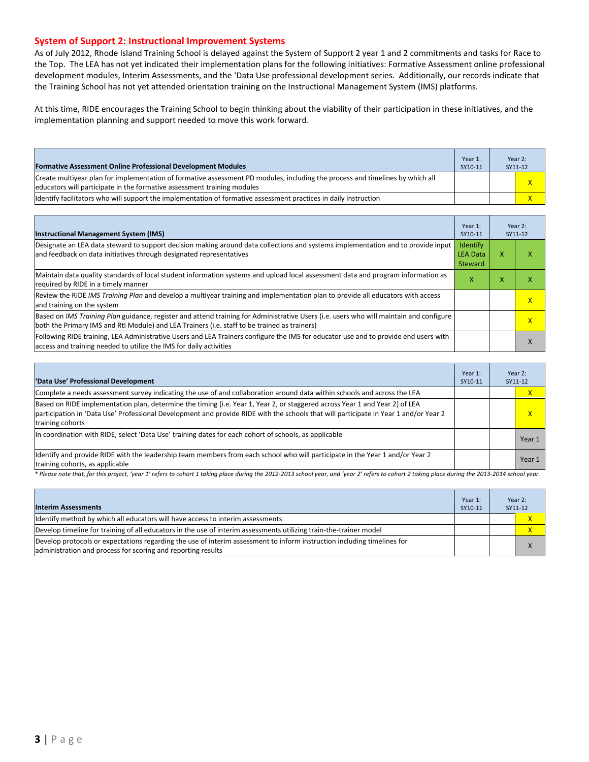#### **System of Support 2: Instructional Improvement Systems**

As of July 2012, Rhode Island Training School is delayed against the System of Support 2 year 1 and 2 commitments and tasks for Race to the Top. The LEA has not yet indicated their implementation plans for the following initiatives: Formative Assessment online professional development modules, Interim Assessments, and the 'Data Use professional development series. Additionally, our records indicate that the Training School has not yet attended orientation training on the Instructional Management System (IMS) platforms.

At this time, RIDE encourages the Training School to begin thinking about the viability of their participation in these initiatives, and the implementation planning and support needed to move this work forward.

| <b>Formative Assessment Online Professional Development Modules</b>                                                                                                                                      | Year 1:<br>SY10-11 | Year 2:<br>SY11-12      |
|----------------------------------------------------------------------------------------------------------------------------------------------------------------------------------------------------------|--------------------|-------------------------|
| Create multivear plan for implementation of formative assessment PD modules, including the process and timelines by which all<br>educators will participate in the formative assessment training modules |                    | $\overline{\mathsf{x}}$ |
| Ildentify facilitators who will support the implementation of formative assessment practices in daily instruction                                                                                        |                    |                         |

| <b>Instructional Management System (IMS)</b>                                                                                                                                                                                           | Year 1:<br>SY10-11                     |   | Year 2:<br>SY11-12 |
|----------------------------------------------------------------------------------------------------------------------------------------------------------------------------------------------------------------------------------------|----------------------------------------|---|--------------------|
| Designate an LEA data steward to support decision making around data collections and systems implementation and to provide input<br>and feedback on data initiatives through designated representatives                                | Identify<br><b>LEA Data</b><br>Steward | x | x                  |
| Maintain data quality standards of local student information systems and upload local assessment data and program information as<br>required by RIDE in a timely manner                                                                | x                                      | X | ⋏                  |
| Review the RIDE IMS Training Plan and develop a multiyear training and implementation plan to provide all educators with access<br>and training on the system                                                                          |                                        |   | X                  |
| Based on IMS Training Plan guidance, register and attend training for Administrative Users (i.e. users who will maintain and configure<br>both the Primary IMS and RtI Module) and LEA Trainers (i.e. staff to be trained as trainers) |                                        |   | x                  |
| Following RIDE training, LEA Administrative Users and LEA Trainers configure the IMS for educator use and to provide end users with<br>access and training needed to utilize the IMS for daily activities                              |                                        |   | X                  |

| 'Data Use' Professional Development                                                                                                                                                                                                                                                     | Year 1:<br>SY10-11 | Year 2:<br>SY11-12 |
|-----------------------------------------------------------------------------------------------------------------------------------------------------------------------------------------------------------------------------------------------------------------------------------------|--------------------|--------------------|
| Complete a needs assessment survey indicating the use of and collaboration around data within schools and across the LEA                                                                                                                                                                |                    | $\mathsf{X}$       |
| Based on RIDE implementation plan, determine the timing (i.e. Year 1, Year 2, or staggered across Year 1 and Year 2) of LEA<br>participation in 'Data Use' Professional Development and provide RIDE with the schools that will participate in Year 1 and/or Year 2<br>training cohorts |                    | $\mathsf{x}$       |
| In coordination with RIDE, select 'Data Use' training dates for each cohort of schools, as applicable                                                                                                                                                                                   |                    | Year 1             |
| Identify and provide RIDE with the leadership team members from each school who will participate in the Year 1 and/or Year 2<br>training cohorts, as applicable                                                                                                                         |                    | Year 1             |

*\* Please note that, for this project, 'year 1' refers to cohort 1 taking place during the 2012-2013 school year, and 'year 2' refers to cohort 2 taking place during the 2013-2014 school year.*

| <b>Interim Assessments</b>                                                                                                                                                              | Year 1:<br>SY10-11 | Year 2:<br>SY11-12 |
|-----------------------------------------------------------------------------------------------------------------------------------------------------------------------------------------|--------------------|--------------------|
| Identify method by which all educators will have access to interim assessments                                                                                                          |                    |                    |
| Develop timeline for training of all educators in the use of interim assessments utilizing train-the-trainer model                                                                      |                    |                    |
| Develop protocols or expectations regarding the use of interim assessment to inform instruction including timelines for<br>administration and process for scoring and reporting results |                    |                    |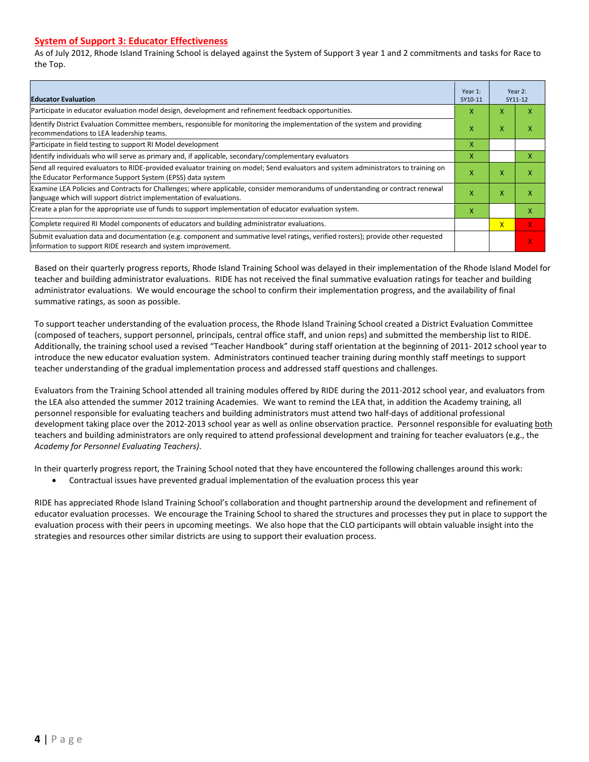#### **System of Support 3: Educator Effectiveness**

As of July 2012, Rhode Island Training School is delayed against the System of Support 3 year 1 and 2 commitments and tasks for Race to the Top.

| <b>Educator Evaluation</b>                                                                                                                                                                            |   |   | Year 2:<br>SY11-12 |
|-------------------------------------------------------------------------------------------------------------------------------------------------------------------------------------------------------|---|---|--------------------|
| Participate in educator evaluation model design, development and refinement feedback opportunities.                                                                                                   | x | v |                    |
| Identify District Evaluation Committee members, responsible for monitoring the implementation of the system and providing<br>recommendations to LEA leadership teams.                                 | X | X | x                  |
| Participate in field testing to support RI Model development                                                                                                                                          | x |   |                    |
| Ildentify individuals who will serve as primary and, if applicable, secondary/complementary evaluators                                                                                                | x |   | х                  |
| Send all required evaluators to RIDE-provided evaluator training on model; Send evaluators and system administrators to training on<br>the Educator Performance Support System (EPSS) data system     | X | X | х.                 |
| Examine LEA Policies and Contracts for Challenges; where applicable, consider memorandums of understanding or contract renewal<br>language which will support district implementation of evaluations. |   |   | x                  |
| Create a plan for the appropriate use of funds to support implementation of educator evaluation system.                                                                                               |   |   | x                  |
| Complete required RI Model components of educators and building administrator evaluations.                                                                                                            |   |   | X.                 |
| Submit evaluation data and documentation (e.g. component and summative level ratings, verified rosters); provide other requested<br>linformation to support RIDE research and system improvement.     |   |   | V.                 |

Based on their quarterly progress reports, Rhode Island Training School was delayed in their implementation of the Rhode Island Model for teacher and building administrator evaluations. RIDE has not received the final summative evaluation ratings for teacher and building administrator evaluations. We would encourage the school to confirm their implementation progress, and the availability of final summative ratings, as soon as possible.

To support teacher understanding of the evaluation process, the Rhode Island Training School created a District Evaluation Committee (composed of teachers, support personnel, principals, central office staff, and union reps) and submitted the membership list to RIDE. Additionally, the training school used a revised "Teacher Handbook" during staff orientation at the beginning of 2011- 2012 school year to introduce the new educator evaluation system. Administrators continued teacher training during monthly staff meetings to support teacher understanding of the gradual implementation process and addressed staff questions and challenges.

Evaluators from the Training School attended all training modules offered by RIDE during the 2011-2012 school year, and evaluators from the LEA also attended the summer 2012 training Academies. We want to remind the LEA that, in addition the Academy training, all personnel responsible for evaluating teachers and building administrators must attend two half-days of additional professional development taking place over the 2012-2013 school year as well as online observation practice. Personnel responsible for evaluating both teachers and building administrators are only required to attend professional development and training for teacher evaluators (e.g., the *Academy for Personnel Evaluating Teachers)*.

In their quarterly progress report, the Training School noted that they have encountered the following challenges around this work:

• Contractual issues have prevented gradual implementation of the evaluation process this year

RIDE has appreciated Rhode Island Training School's collaboration and thought partnership around the development and refinement of educator evaluation processes. We encourage the Training School to shared the structures and processes they put in place to support the evaluation process with their peers in upcoming meetings. We also hope that the CLO participants will obtain valuable insight into the strategies and resources other similar districts are using to support their evaluation process.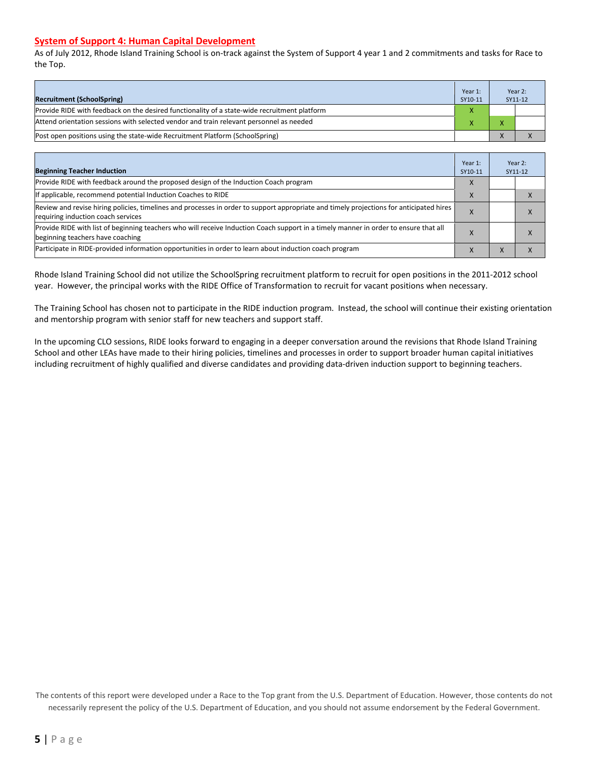#### **System of Support 4: Human Capital Development**

As of July 2012, Rhode Island Training School is on-track against the System of Support 4 year 1 and 2 commitments and tasks for Race to the Top.

| <b>Recruitment (SchoolSpring)</b>                                                            | Year 1:<br>SY10-11 | Year 2:<br>SY11-12 |
|----------------------------------------------------------------------------------------------|--------------------|--------------------|
| Provide RIDE with feedback on the desired functionality of a state-wide recruitment platform |                    |                    |
| Attend orientation sessions with selected vendor and train relevant personnel as needed      |                    |                    |
| (Post open positions using the state-wide Recruitment Platform (SchoolSpring)                |                    |                    |

| <b>Beginning Teacher Induction</b>                                                                                                                                            | Year 1:<br>SY10-11 |           | Year 2:<br>SY11-12 |
|-------------------------------------------------------------------------------------------------------------------------------------------------------------------------------|--------------------|-----------|--------------------|
| Provide RIDE with feedback around the proposed design of the Induction Coach program                                                                                          |                    |           |                    |
| If applicable, recommend potential Induction Coaches to RIDE                                                                                                                  |                    |           |                    |
| Review and revise hiring policies, timelines and processes in order to support appropriate and timely projections for anticipated hires<br>requiring induction coach services |                    |           | $\Lambda$          |
| Provide RIDE with list of beginning teachers who will receive Induction Coach support in a timely manner in order to ensure that all<br>beginning teachers have coaching      |                    |           |                    |
| Participate in RIDE-provided information opportunities in order to learn about induction coach program                                                                        |                    | $\lambda$ |                    |

Rhode Island Training School did not utilize the SchoolSpring recruitment platform to recruit for open positions in the 2011-2012 school year. However, the principal works with the RIDE Office of Transformation to recruit for vacant positions when necessary.

The Training School has chosen not to participate in the RIDE induction program. Instead, the school will continue their existing orientation and mentorship program with senior staff for new teachers and support staff.

In the upcoming CLO sessions, RIDE looks forward to engaging in a deeper conversation around the revisions that Rhode Island Training School and other LEAs have made to their hiring policies, timelines and processes in order to support broader human capital initiatives including recruitment of highly qualified and diverse candidates and providing data-driven induction support to beginning teachers.

The contents of this report were developed under a Race to the Top grant from the U.S. Department of Education. However, those contents do not necessarily represent the policy of the U.S. Department of Education, and you should not assume endorsement by the Federal Government.